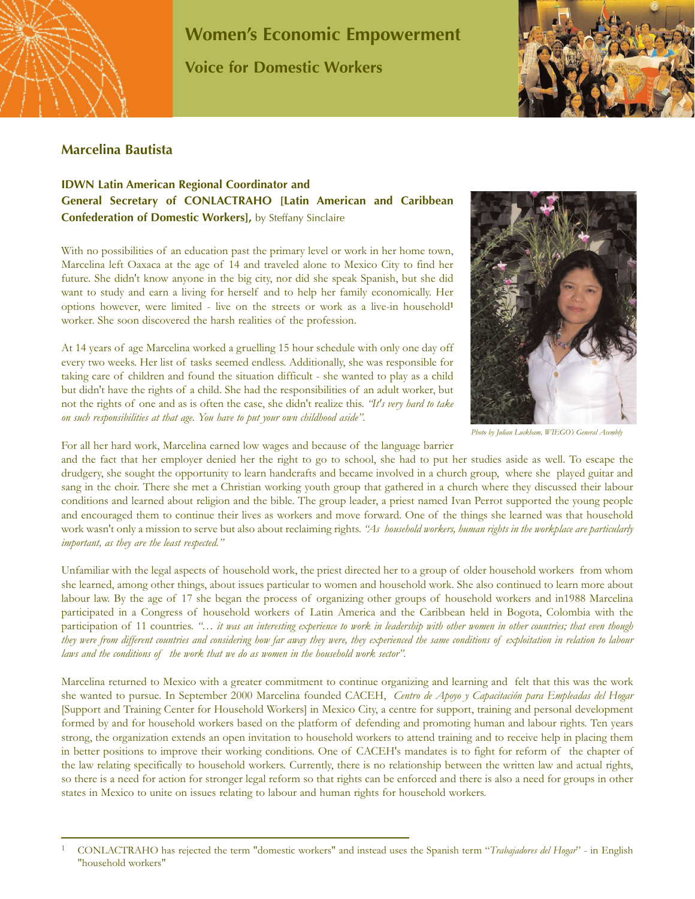

## **Women's Economic Empowerment Voice for Domestic Workers**



## **Marcelina Bautista**

## **IDWN Latin American Regional Coordinator and General Secretary of CONLACTRAHO [Latin American and Caribbean Confederation of Domestic Workers],** by Steffany Sinclaire

With no possibilities of an education past the primary level or work in her home town, Marcelina left Oaxaca at the age of 14 and traveled alone to Mexico City to find her future. She didn't know anyone in the big city, nor did she speak Spanish, but she did want to study and earn a living for herself and to help her family economically. Her options however, were limited - live on the streets or work as a live-in household**<sup>1</sup>** worker. She soon discovered the harsh realities of the profession.

At 14 years of age Marcelina worked a gruelling 15 hour schedule with only one day off every two weeks. Her list of tasks seemed endless. Additionally, she was responsible for taking care of children and found the situation difficult - she wanted to play as a child but didn't have the rights of a child. She had the responsibilities of an adult worker, but not the rights of one and as is often the case, she didn't realize this. *"It's very hard to take on such responsibilities at that age. You have to put your own childhood aside"*.



*Photo by Julian Luckham, WIEGO's General Asembly*

For all her hard work, Marcelina earned low wages and because of the language barrier

and the fact that her employer denied her the right to go to school, she had to put her studies aside as well. To escape the drudgery, she sought the opportunity to learn handcrafts and became involved in a church group, where she played guitar and sang in the choir. There she met a Christian working youth group that gathered in a church where they discussed their labour conditions and learned about religion and the bible. The group leader, a priest named Ivan Perrot supported the young people and encouraged them to continue their lives as workers and move forward. One of the things she learned was that household work wasn't only a mission to serve but also about reclaiming rights. *"As household workers, human rights in the workplace are particularly important, as they are the least respected."*

Unfamiliar with the legal aspects of household work, the priest directed her to a group of older household workers from whom she learned, among other things, about issues particular to women and household work. She also continued to learn more about labour law. By the age of 17 she began the process of organizing other groups of household workers and in1988 Marcelina participated in a Congress of household workers of Latin America and the Caribbean held in Bogota, Colombia with the participation of 11 countries. "... it was an interesting experience to work in leadership with other women in other countries; that even though *they were from different countries and considering how far away they were, they experienced the same conditions of exploitation in relation to labour laws and the conditions of the work that we do as women in the household work sector".*

Marcelina returned to Mexico with a greater commitment to continue organizing and learning and felt that this was the work she wanted to pursue. In September 2000 Marcelina founded CACEH, *Centro de Apoyo y Capacitación para Empleadas del Hogar* [Support and Training Center for Household Workers] in Mexico City, a centre for support, training and personal development formed by and for household workers based on the platform of defending and promoting human and labour rights. Ten years strong, the organization extends an open invitation to household workers to attend training and to receive help in placing them in better positions to improve their working conditions. One of CACEH's mandates is to fight for reform of the chapter of the law relating specifically to household workers. Currently, there is no relationship between the written law and actual rights, so there is a need for action for stronger legal reform so that rights can be enforced and there is also a need for groups in other states in Mexico to unite on issues relating to labour and human rights for household workers.

<sup>1</sup> CONLACTRAHO has rejected the term "domestic workers" and instead uses the Spanish term "*Trabajadores del Hogar*" - in English "household workers"